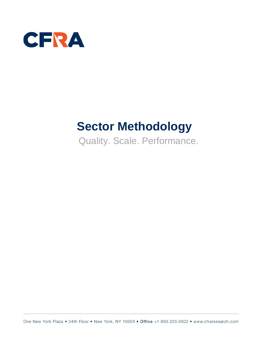

# **Sector Methodology**

Quality. Scale. Performance.

One New York Plaza . 34th Floor . New York, NY 10004 . Office +1 800.220.0502 . www.cfraresearch.com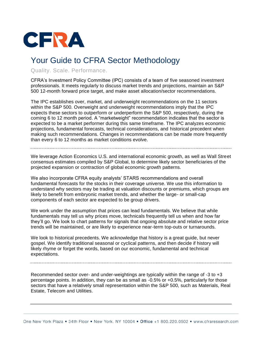

## Your Guide to CFRA Sector Methodology

Quality. Scale. Performance.

CFRA's Investment Policy Committee (IPC) consists of a team of five seasoned investment professionals. It meets regularly to discuss market trends and projections, maintain an S&P 500 12-month forward price target, and make asset allocation/sector recommendations.

The IPC establishes over, market, and underweight recommendations on the 11 sectors within the S&P 500. Overweight and underweight recommendations imply that the IPC expects these sectors to outperform or underperform the S&P 500, respectively, during the coming 6 to 12 month period. A "marketweight" recommendation indicates that the sector is expected to be a market performer during this same timeframe. The IPC analyzes economic projections, fundamental forecasts, technical considerations, and historical precedent when making such recommendations. Changes in recommendations can be made more frequently than every 6 to 12 months as market conditions evolve.

We leverage Action Economics U.S. and international economic growth, as well as Wall Street consensus estimates compiled by S&P Global, to determine likely sector beneficiaries of the projected expansion or contraction of global economic growth patterns.

We also incorporate CFRA equity analysts' STARS recommendations and overall fundamental forecasts for the stocks in their coverage universe. We use this information to understand why sectors may be trading at valuation discounts or premiums, which groups are likely to benefit from embryonic market trends, and whether the large- or small-cap components of each sector are expected to be group drivers.

We work under the assumption that prices can lead fundamentals. We believe that while fundamentals may tell us why prices move, technicals frequently tell us when and how far they'll go. We look to chart patterns for signals that ongoing absolute and relative sector price trends will be maintained, or are likely to experience near-term top-outs or turnarounds.

We look to historical precedents. We acknowledge that history is a great guide, but never gospel. We identify traditional seasonal or cyclical patterns, and then decide if history will likely rhyme or forget the words, based on our economic, fundamental and technical expectations.

Recommended sector over- and under-weightings are typically within the range of -3 to +3 percentage points. In addition, they can be as small as -0.5% or +0.5%, particularly for those sectors that have a relatively small representation within the S&P 500, such as Materials, Real Estate, Telecom and Utilities.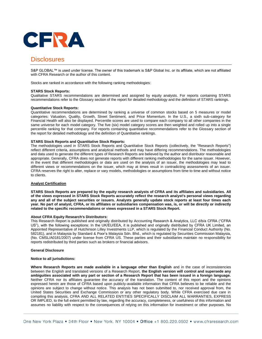

### **Disclosures**

S&P GLOBAL™ is used under license. The owner of this trademark is S&P Global Inc. or its affiliate, which are not affiliated with CFRA Research or the author of this content.

Stocks are ranked in accordance with the following ranking methodologies:

#### **STARS Stock Reports:**

Qualitative STARS recommendations are determined and assigned by equity analysts. For reports containing STARS recommendations refer to the Glossary section of the report for detailed methodology and the definition of STARS rankings.

#### **Quantitative Stock Reports:**

Quantitative recommendations are determined by ranking a universe of common stocks based on 5 measures or model categories: Valuation, Quality, Growth, Street Sentiment, and Price Momentum. In the U.S., a sixth sub-category for Financial Health will also be displayed. Percentile scores are used to compare each company to all other companies in the same universe for each model category. The five (six) model category scores are then weighted and rolled up into a single percentile ranking for that company. For reports containing quantitative recommendations refer to the Glossary section of the report for detailed methodology and the definition of Quantitative rankings.

#### **STARS Stock Reports and Quantitative Stock Reports:**

The methodologies used in STARS Stock Reports and Quantitative Stock Reports (collectively, the "Research Reports") reflect different criteria, assumptions and analytical methods and may have differing recommendations. The methodologies and data used to generate the different types of Research Reports are believed by the author and distributor reasonable and appropriate. Generally, CFRA does not generate reports with different ranking methodologies for the same issuer. However, in the event that different methodologies or data are used on the analysis of an issuer, the methodologies may lead to different views or recommendations on the issuer, which may at times result in contradicting assessments of an issuer. CFRA reserves the right to alter, replace or vary models, methodologies or assumptions from time to time and without notice to clients.

#### **Analyst Certification**

**STARS Stock Reports are prepared by the equity research analysts of CFRA and its affiliates and subsidiaries. All of the views expressed in STARS Stock Reports accurately reflect the research analyst's personal views regarding any and all of the subject securities or issuers. Analysts generally update stock reports at least four times each year. No part of analyst, CFRA, or its affiliates or subsidiaries compensation was, is, or will be directly or indirectly related to the specific recommendations or views expressed in a STARS Stock Report.**

#### **About CFRA Equity Research's Distributors:**

This Research Report is published and originally distributed by Accounting Research & Analytics, LLC d/b/a CFRA ("CFRA US"), with the following exceptions: In the UK/EU/EEA, it is published and originally distributed by CFRA UK Limited, an Appointed Representative of Hutchinson Lilley Investments LLP, which is regulated by the Financial Conduct Authority (No. 582181), and in Malaysia by Standard & Poor's Malaysia Sdn. Bhd., which is regulated by Securities Commission Malaysia, (No. CMSL/A0181/2007) under license from CFRA US. These parties and their subsidiaries maintain no responsibility for reports redistributed by third parties such as brokers or financial advisors.

#### **General Disclosure**

#### **Notice to all jurisdictions:**

**Where Research Reports are made available in a language other than English** and in the case of inconsistencies between the English and translated versions of a Research Report, **the English version will control and supersede any ambiguities associated with any part or section of a Research Report that has been issued in a foreign language.**  Neither CFRA nor its affiliates guarantee the accuracy of the translation. The content of this report and the opinions expressed herein are those of CFRA based upon publicly-available information that CFRA believes to be reliable and the opinions are subject to change without notice. This analysis has not been submitted to, nor received approval from, the United States Securities and Exchange Commission or any other regulatory body. While CFRA exercised due care in compiling this analysis, CFRA AND ALL RELATED ENTITIES SPECIFICALLY DISCLAIM ALL WARRANTIES, EXPRESS OR IMPLIED, to the full extent permitted by law, regarding the accuracy, completeness, or usefulness of this information and assumes no liability with respect to the consequences of relying on this information for investment or other purposes. No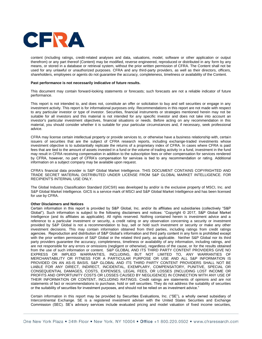

content (including ratings, credit-related analyses and data, valuations, model, software or other application or output therefrom) or any part thereof (Content) may be modified, reverse engineered, reproduced or distributed in any form by any means, or stored in a database or retrieval system, without the prior written permission of CFRA. The Content shall not be used for any unlawful or unauthorized purposes. CFRA and any third-party providers, as well as their directors, officers, shareholders, employees or agents do not guarantee the accuracy, completeness, timeliness or availability of the Content.

#### **Past performance is not necessarily indicative of future results.**

This document may contain forward-looking statements or forecasts; such forecasts are not a reliable indicator of future performance.

This report is not intended to, and does not, constitute an offer or solicitation to buy and sell securities or engage in any investment activity. This report is for informational purposes only. Recommendations in this report are not made with respect to any particular investor or type of investor. Securities, financial instruments or strategies mentioned herein may not be suitable for all investors and this material is not intended for any specific investor and does not take into account an investor's particular investment objectives, financial situations or needs. Before acting on any recommendation in this material, you should consider whether it is suitable for your particular circumstances and, if necessary, seek professional advice.

CFRA may license certain intellectual property or provide services to, or otherwise have a business relationship with, certain issuers of securities that are the subject of CFRA research reports, including exchange-traded investments whose investment objective is to substantially replicate the returns of a proprietary index of CFRA. In cases where CFRA is paid fees that are tied to the amount of assets invested in a fund or the volume of trading activity in a fund, investment in the fund may result in CFRA receiving compensation in addition to the subscription fees or other compensation for services rendered by CFRA, however, no part of CFRA's compensation for services is tied to any recommendation or rating. Additional information on a subject company may be available upon request.

CFRA's financial data provider is S&P Global Market Intelligence. THIS DOCUMENT CONTAINS COPYRIGHTED AND TRADE SECRET MATERIAL DISTRIBUTED UNDER LICENSE FROM S&P GLOBAL MARKET INTELLIGENCE. FOR RECIPIENT'S INTERNAL USE ONLY.

The Global Industry Classification Standard (GICS®) was developed by and/or is the exclusive property of MSCI, Inc. and S&P Global Market Intelligence. GICS is a service mark of MSCI and S&P Global Market Intelligence and has been licensed for use by CFRA.

#### **Other Disclaimers and Notices**

Certain information in this report is provided by S&P Global, Inc. and/or its affiliates and subsidiaries (collectively "S&P Global"). Such information is subject to the following disclaimers and notices: "Copyright © 2017, S&P Global Market Intelligence (and its affiliates as applicable). All rights reserved. Nothing contained herein is investment advice and a reference to a particular investment or security, a credit rating or any observation concerning a security or investment provided by S&P Global is not a recommendation to buy, sell or hold such investment or security or make any other investment decisions. This may contain information obtained from third parties, including ratings from credit ratings agencies. Reproduction and distribution of S&P Global's information and third party content in any form is prohibited except with the prior written permission of S&P Global or the related third party, as applicable. Neither S&P Global nor its third party providers guarantee the accuracy, completeness, timeliness or availability of any information, including ratings, and are not responsible for any errors or omissions (negligent or otherwise), regardless of the cause, or for the results obtained from the use of such information or content. S&P GLOBAL AND ITS THIRD PARTY CONTENT PROVIDERS GIVE NO EXPRESS OR IMPLIED WARRANTIES, INCLUDING, BUT NOT LIMITED TO, ANY WARRANTIES OF MERCHANTABILITY OR FITNESS FOR A PARTICULAR PURPOSE OR USE AND ALL S&P INFORMATION IS PROVIDED ON AN AS-IS BASIS. S&P GLOBAL AND ITS THIRD PARTY CONTENT PROVIDERS SHALL NOT BE LIABLE FOR ANY DIRECT, INDIRECT, INCIDENTAL, EXEMPLARY, COMPENSATORY, PUNITIVE, SPECIAL OR CONSEQUENTIAL DAMAGES, COSTS, EXPENSES, LEGAL FEES, OR LOSSES (INCLUDING LOST INCOME OR PROFITS AND OPPORTUNITY COSTS OR LOSSES CAUSED BY NEGLIGENCE) IN CONNECTION WITH ANY USE OF THEIR INFORMATION OR CONTENT, INCLUDING RATINGS. Credit ratings are statements of opinions and are not statements of fact or recommendations to purchase, hold or sell securities. They do not address the suitability of securities or the suitability of securities for investment purposes, and should not be relied on as investment advice."

Certain information in this report may be provided by Securities Evaluations, Inc. ("SE"), a wholly owned subsidiary of Intercontinental Exchange. SE is a registered investment adviser with the United States Securities and Exchange Commission (SEC). SE's advisory services include evaluated pricing and model valuation of fixed income securities,